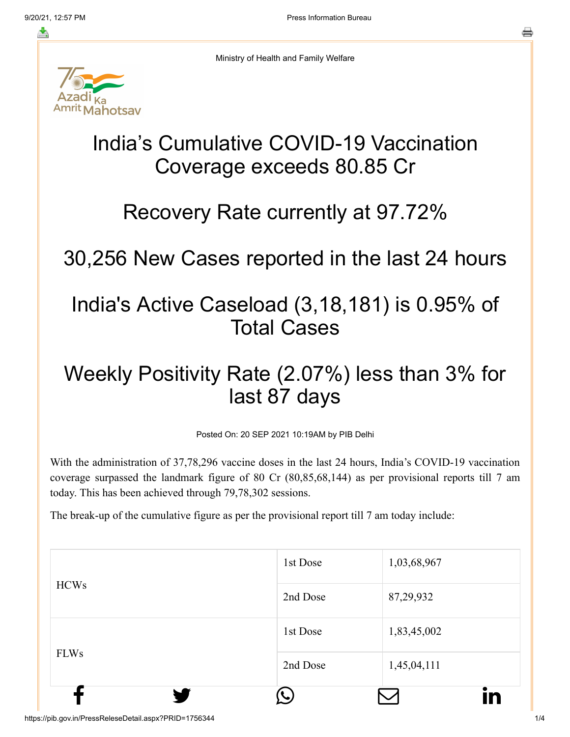≛



Ministry of Health and Family Welfare

# India's Cumulative COVID-19 Vaccination Coverage exceeds 80.85 Cr

#### Recovery Rate currently at 97.72%

30,256 New Cases reported in the last 24 hours

### India's Active Caseload (3,18,181) is 0.95% of Total Cases

## Weekly Positivity Rate (2.07%) less than 3% for last 87 days

Posted On: 20 SEP 2021 10:19AM by PIB Delhi

With the administration of 37,78,296 vaccine doses in the last 24 hours, India's COVID-19 vaccination coverage surpassed the landmark figure of 80 Cr (80,85,68,144) as per provisional reports till 7 am today. This has been achieved through 79,78,302 sessions.

The break-up of the cumulative figure as per the provisional report till 7 am today include:

| <b>HCWs</b> | 1st Dose | 1,03,68,967       |
|-------------|----------|-------------------|
| <b>FLWs</b> | 2nd Dose | 87,29,932         |
|             | 1st Dose | 1,83,45,002       |
|             | 2nd Dose | 1,45,04,111<br>in |

https://pib.gov.in/PressReleseDetail.aspx?PRID=1756344 1/4 1/4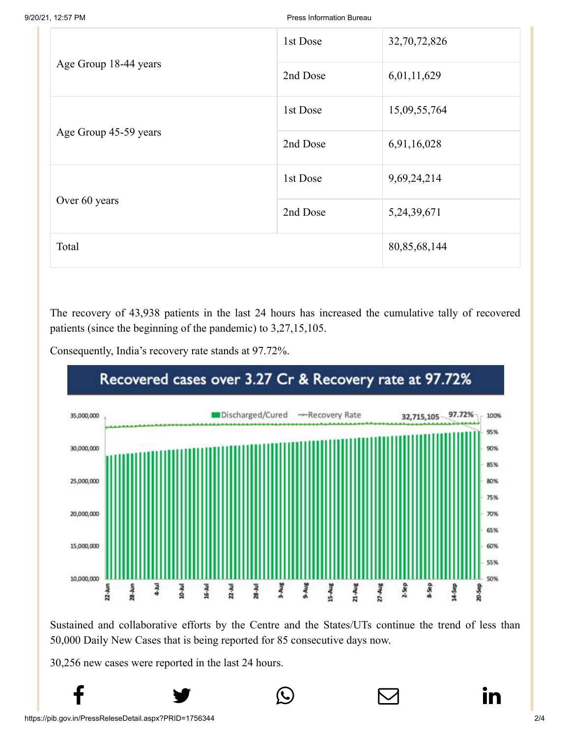9/20/21, 12:57 PM Press Information Bureau

|                       | 1st Dose | 32,70,72,826    |
|-----------------------|----------|-----------------|
| Age Group 18-44 years | 2nd Dose | 6,01,11,629     |
|                       | 1st Dose | 15,09,55,764    |
| Age Group 45-59 years | 2nd Dose | 6,91,16,028     |
| Over 60 years         | 1st Dose | 9,69,24,214     |
|                       | 2nd Dose | 5,24,39,671     |
| Total                 |          | 80, 85, 68, 144 |

The recovery of 43,938 patients in the last 24 hours has increased the cumulative tally of recovered patients (since the beginning of the pandemic) to 3,27,15,105.

Consequently, India's recovery rate stands at 97.72%.



Sustained and collaborative efforts by the Centre and the States/UTs continue the trend of less than 50,000 Daily New Cases that is being reported for 85 consecutive days now.

 $f$  y  $\circledcirc$   $\quad \circ$  in

30,256 new cases were reported in the last 24 hours.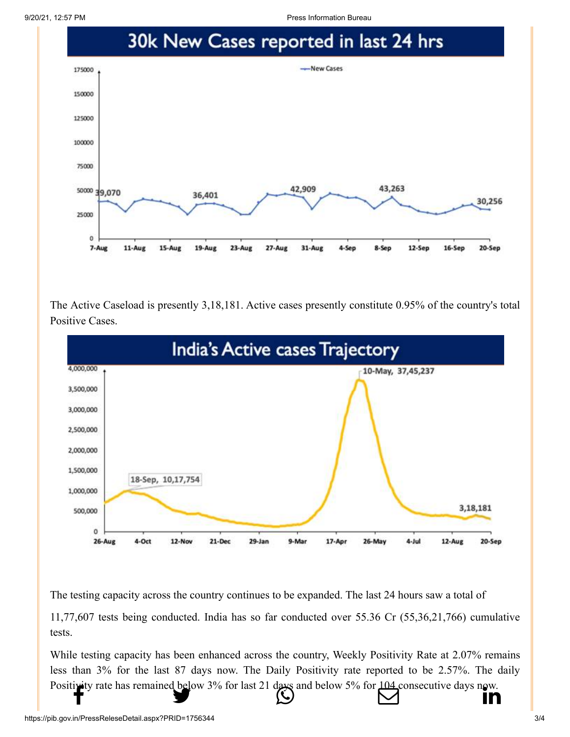9/20/21, 12:57 PM Press Information Bureau



The Active Caseload is presently 3,18,181. Active cases presently constitute 0.95% of the country's total Positive Cases.



The testing capacity across the country continues to be expanded. The last 24 hours saw a total of

11,77,607 tests being conducted. India has so far conducted over 55.36 Cr (55,36,21,766) cumulative tests.

While testing capacity has been enhanced across the country, Weekly Positivity Rate at 2.07% remains less than 3% for the last 87 days now. The Daily Positivity rate reported to be 2.57%. The daily [Positivity rate has](http://www.facebook.com/share.php?u=https://pib.gov.in/PressReleasePage.aspx?PRID=1756344) [remained below 3% fo](https://twitter.com/intent/tweet?url=https://pib.gov.in/PressReleasePage.aspx?PRID=1756344&text=India%E2%80%99s%20Cumulative%20COVID-19%20Vaccination%20Coverage%20exceeds%2080.85%20Cr)[r last 21 days and belo](https://api.whatsapp.com/send?text=https://pib.gov.in/PressReleasePage.aspx?PRID=1756344)[w 5% for 104 consecuti](https://mail.google.com/mail/?view=cm&fs=1&tf=1&to=&su=India%E2%80%99s%20Cumulative%20COVID-19%20Vaccination%20Coverage%20exceeds%2080.85%20Cr&body=https://pib.gov.in/PressReleasePage.aspx?PRID=1756344&ui=2&tf=1&pli=1)[ve days now.](https://www.linkedin.com/shareArticle?mini=true&url=https://pib.gov.in/PressReleasePage.aspx?PRID=1756344&title=India%E2%80%99s%20Cumulative%20COVID-19%20Vaccination%20Coverage%20exceeds%2080.85%20Cr&summary=My%20favorite%20developer%20program&source=LinkedIn)